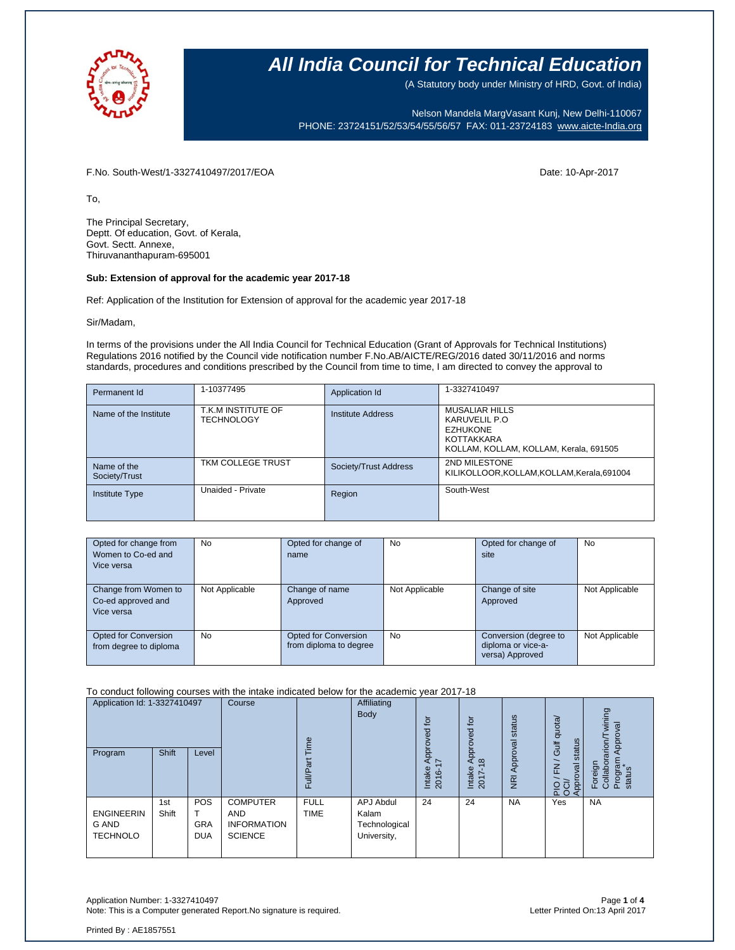

(A Statutory body under Ministry of HRD, Govt. of India)

Nelson Mandela MargVasant Kunj, New Delhi-110067 PHONE: 23724151/52/53/54/55/56/57 FAX: 011-23724183 [www.aicte-India.org](http://www.aicte-india.org/)

F.No. South-West/1-3327410497/2017/EOA Date: 10-Apr-2017

To,

The Principal Secretary, Deptt. Of education, Govt. of Kerala, Govt. Sectt. Annexe, Thiruvananthapuram-695001

#### **Sub: Extension of approval for the academic year 2017-18**

Ref: Application of the Institution for Extension of approval for the academic year 2017-18

Sir/Madam,

In terms of the provisions under the All India Council for Technical Education (Grant of Approvals for Technical Institutions) Regulations 2016 notified by the Council vide notification number F.No.AB/AICTE/REG/2016 dated 30/11/2016 and norms standards, procedures and conditions prescribed by the Council from time to time, I am directed to convey the approval to

| Permanent Id                 | 1-10377495                              | Application Id        | 1-3327410497                                                                                                       |
|------------------------------|-----------------------------------------|-----------------------|--------------------------------------------------------------------------------------------------------------------|
| Name of the Institute        | T.K.M INSTITUTE OF<br><b>TECHNOLOGY</b> | Institute Address     | <b>MUSALIAR HILLS</b><br>KARUVELIL P.O.<br><b>EZHUKONE</b><br>KOTTAKKARA<br>KOLLAM, KOLLAM, KOLLAM, Kerala, 691505 |
| Name of the<br>Society/Trust | TKM COLLEGE TRUST                       | Society/Trust Address | 2ND MILESTONE<br>KILIKOLLOOR, KOLLAM, KOLLAM, Kerala, 691004                                                       |
| <b>Institute Type</b>        | Unaided - Private                       | Region                | South-West                                                                                                         |

| Opted for change from<br>Women to Co-ed and<br>Vice versa | <b>No</b>      | Opted for change of<br>name                    | No             | Opted for change of<br>site                                    | No             |
|-----------------------------------------------------------|----------------|------------------------------------------------|----------------|----------------------------------------------------------------|----------------|
| Change from Women to<br>Co-ed approved and<br>Vice versa  | Not Applicable | Change of name<br>Approved                     | Not Applicable | Change of site<br>Approved                                     | Not Applicable |
| Opted for Conversion<br>from degree to diploma            | <b>No</b>      | Opted for Conversion<br>from diploma to degree | <b>No</b>      | Conversion (degree to<br>diploma or vice-a-<br>versa) Approved | Not Applicable |

To conduct following courses with the intake indicated below for the academic year 2017-18

| Application Id: 1-3327410497<br>Shift<br>Program<br>Level |              | Course                                 | $\omega$<br>त्त<br>ш.                                                 | Affiliating<br>Body        | $\overline{5}$<br>요<br>Appl<br>Intake<br>2016-     | tor<br>Approved<br>$\infty$<br>Intake<br>2017- | status<br>Approval<br>$\overline{g}$ | Gulf quota/<br>status<br>$\overline{\phantom{0}}$<br>준<br>$\overline{g}$<br>Approv<br>25 | wining<br>Approval<br>Foreign<br>Collaborarion/<br>Program<br>status |           |
|-----------------------------------------------------------|--------------|----------------------------------------|-----------------------------------------------------------------------|----------------------------|----------------------------------------------------|------------------------------------------------|--------------------------------------|------------------------------------------------------------------------------------------|----------------------------------------------------------------------|-----------|
| <b>ENGINEERIN</b><br><b>G AND</b><br><b>TECHNOLO</b>      | 1st<br>Shift | <b>POS</b><br><b>GRA</b><br><b>DUA</b> | <b>COMPUTER</b><br><b>AND</b><br><b>INFORMATION</b><br><b>SCIENCE</b> | <b>FULL</b><br><b>TIME</b> | APJ Abdul<br>Kalam<br>Technological<br>University, | 24                                             | 24                                   | <b>NA</b>                                                                                | Yes                                                                  | <b>NA</b> |

Application Number: 1-3327410497 Page **1** of **4** Note: This is a Computer generated Report.No signature is required.

Printed By : AE1857551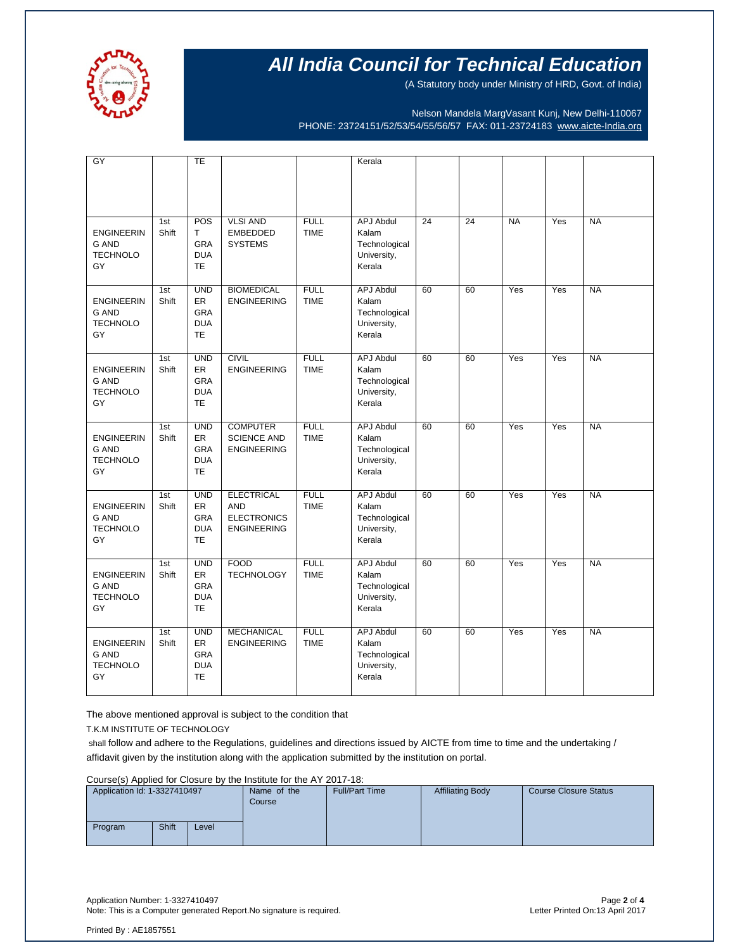

(A Statutory body under Ministry of HRD, Govt. of India)

Nelson Mandela MargVasant Kunj, New Delhi-110067 PHONE: 23724151/52/53/54/55/56/57 FAX: 011-23724183 [www.aicte-India.org](http://www.aicte-india.org/)

| GY                                                         |              | TE                                                               |                                                                             |                            | Kerala                                                              |                 |    |           |     |           |
|------------------------------------------------------------|--------------|------------------------------------------------------------------|-----------------------------------------------------------------------------|----------------------------|---------------------------------------------------------------------|-----------------|----|-----------|-----|-----------|
|                                                            |              |                                                                  |                                                                             |                            |                                                                     |                 |    |           |     |           |
| <b>ENGINEERIN</b><br><b>G AND</b><br><b>TECHNOLO</b><br>GY | 1st<br>Shift | POS<br>T.<br><b>GRA</b><br><b>DUA</b><br><b>TE</b>               | <b>VLSI AND</b><br><b>EMBEDDED</b><br><b>SYSTEMS</b>                        | <b>FULL</b><br><b>TIME</b> | <b>APJ Abdul</b><br>Kalam<br>Technological<br>University,<br>Kerala | $\overline{24}$ | 24 | <b>NA</b> | Yes | <b>NA</b> |
| <b>ENGINEERIN</b><br><b>G AND</b><br><b>TECHNOLO</b><br>GY | 1st<br>Shift | <b>UND</b><br>ER<br>GRA<br><b>DUA</b><br><b>TE</b>               | <b>BIOMEDICAL</b><br><b>ENGINEERING</b>                                     | <b>FULL</b><br><b>TIME</b> | APJ Abdul<br>Kalam<br>Technological<br>University,<br>Kerala        | 60              | 60 | Yes       | Yes | <b>NA</b> |
| <b>ENGINEERIN</b><br><b>G AND</b><br><b>TECHNOLO</b><br>GY | 1st<br>Shift | <b>UND</b><br>ER<br>GRA<br><b>DUA</b><br><b>TE</b>               | <b>CIVIL</b><br><b>ENGINEERING</b>                                          | <b>FULL</b><br><b>TIME</b> | <b>APJ Abdul</b><br>Kalam<br>Technological<br>University,<br>Kerala | 60              | 60 | Yes       | Yes | <b>NA</b> |
| <b>ENGINEERIN</b><br><b>G AND</b><br><b>TECHNOLO</b><br>GY | 1st<br>Shift | <b>UND</b><br><b>ER</b><br><b>GRA</b><br><b>DUA</b><br><b>TE</b> | <b>COMPUTER</b><br><b>SCIENCE AND</b><br><b>ENGINEERING</b>                 | <b>FULL</b><br><b>TIME</b> | <b>APJ Abdul</b><br>Kalam<br>Technological<br>University,<br>Kerala | 60              | 60 | Yes       | Yes | <b>NA</b> |
| <b>ENGINEERIN</b><br>G AND<br><b>TECHNOLO</b><br>GY        | 1st<br>Shift | <b>UND</b><br>ER<br>GRA<br><b>DUA</b><br><b>TE</b>               | <b>ELECTRICAL</b><br><b>AND</b><br><b>ELECTRONICS</b><br><b>ENGINEERING</b> | <b>FULL</b><br><b>TIME</b> | <b>APJ Abdul</b><br>Kalam<br>Technological<br>University,<br>Kerala | 60              | 60 | Yes       | Yes | <b>NA</b> |
| <b>ENGINEERIN</b><br>G AND<br><b>TECHNOLO</b><br>GY        | 1st<br>Shift | <b>UND</b><br>ER<br><b>GRA</b><br><b>DUA</b><br>TE               | <b>FOOD</b><br><b>TECHNOLOGY</b>                                            | <b>FULL</b><br><b>TIME</b> | <b>APJ Abdul</b><br>Kalam<br>Technological<br>University,<br>Kerala | 60              | 60 | Yes       | Yes | <b>NA</b> |
| <b>ENGINEERIN</b><br><b>G AND</b><br><b>TECHNOLO</b><br>GY | 1st<br>Shift | <b>UND</b><br><b>ER</b><br><b>GRA</b><br><b>DUA</b><br><b>TE</b> | <b>MECHANICAL</b><br><b>ENGINEERING</b>                                     | <b>FULL</b><br><b>TIME</b> | <b>APJ Abdul</b><br>Kalam<br>Technological<br>University,<br>Kerala | 60              | 60 | Yes       | Yes | <b>NA</b> |

The above mentioned approval is subject to the condition that

T.K.M INSTITUTE OF TECHNOLOGY

shall follow and adhere to the Regulations, guidelines and directions issued by AICTE from time to time and the undertaking / affidavit given by the institution along with the application submitted by the institution on portal.

Course(s) Applied for Closure by the Institute for the AY 2017-18:

| Application Id: 1-3327410497 |              | Name of the<br>Course | <b>Full/Part Time</b> | <b>Affiliating Body</b> | Course Closure Status |  |
|------------------------------|--------------|-----------------------|-----------------------|-------------------------|-----------------------|--|
| Program                      | <b>Shift</b> | Level                 |                       |                         |                       |  |

Application Number: 1-3327410497 Page **2** of **4** Note: This is a Computer generated Report. No signature is required.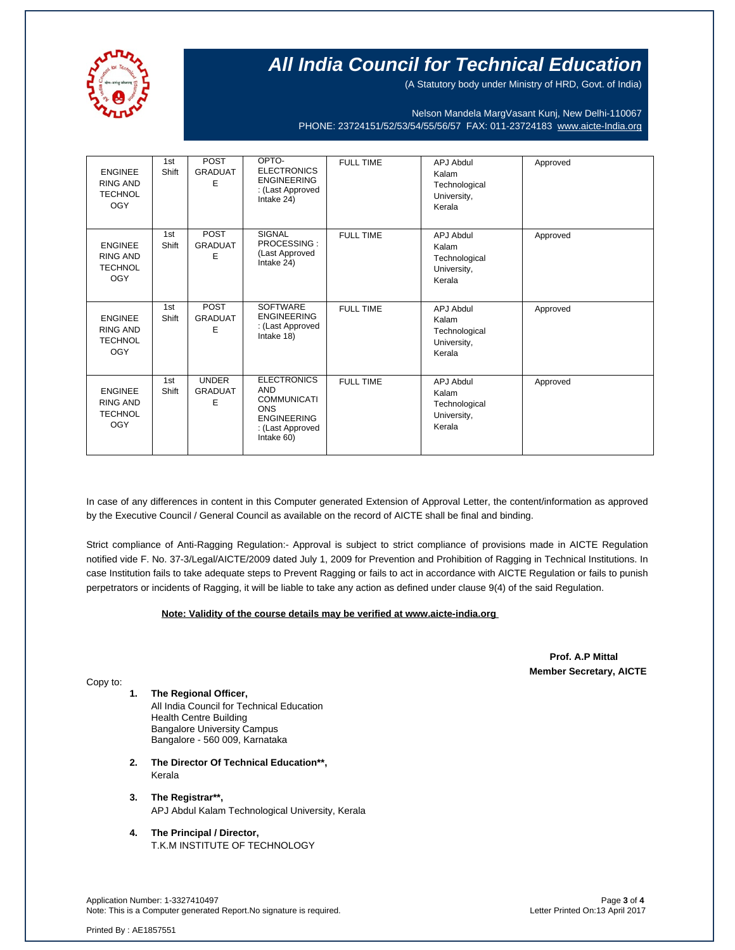

(A Statutory body under Ministry of HRD, Govt. of India)

Nelson Mandela MargVasant Kunj, New Delhi-110067 PHONE: 23724151/52/53/54/55/56/57 FAX: 011-23724183 [www.aicte-India.org](http://www.aicte-india.org/)

| <b>ENGINEE</b><br><b>RING AND</b><br><b>TECHNOL</b><br><b>OGY</b> | 1st<br>Shift | POST<br><b>GRADUAT</b><br>E         | OPTO-<br><b>ELECTRONICS</b><br><b>ENGINEERING</b><br>: (Last Approved<br>Intake 24)                                          | <b>FULL TIME</b> | <b>APJ Abdul</b><br>Kalam<br>Technological<br>University,<br>Kerala | Approved |
|-------------------------------------------------------------------|--------------|-------------------------------------|------------------------------------------------------------------------------------------------------------------------------|------------------|---------------------------------------------------------------------|----------|
| <b>ENGINEE</b><br><b>RING AND</b><br><b>TECHNOL</b><br><b>OGY</b> | 1st<br>Shift | POST<br><b>GRADUAT</b><br>E         | <b>SIGNAL</b><br>PROCESSING:<br>(Last Approved<br>Intake 24)                                                                 | <b>FULL TIME</b> | <b>APJ Abdul</b><br>Kalam<br>Technological<br>University,<br>Kerala | Approved |
| <b>ENGINEE</b><br><b>RING AND</b><br><b>TECHNOL</b><br><b>OGY</b> | 1st<br>Shift | <b>POST</b><br><b>GRADUAT</b><br>E  | <b>SOFTWARE</b><br><b>ENGINEERING</b><br>: (Last Approved<br>Intake 18)                                                      | <b>FULL TIME</b> | APJ Abdul<br>Kalam<br>Technological<br>University,<br>Kerala        | Approved |
| <b>ENGINEE</b><br><b>RING AND</b><br><b>TECHNOL</b><br><b>OGY</b> | 1st<br>Shift | <b>UNDER</b><br><b>GRADUAT</b><br>Е | <b>ELECTRONICS</b><br><b>AND</b><br><b>COMMUNICATI</b><br><b>ONS</b><br><b>ENGINEERING</b><br>: (Last Approved<br>Intake 60) | <b>FULL TIME</b> | APJ Abdul<br>Kalam<br>Technological<br>University,<br>Kerala        | Approved |

In case of any differences in content in this Computer generated Extension of Approval Letter, the content/information as approved by the Executive Council / General Council as available on the record of AICTE shall be final and binding.

Strict compliance of Anti-Ragging Regulation:- Approval is subject to strict compliance of provisions made in AICTE Regulation notified vide F. No. 37-3/Legal/AICTE/2009 dated July 1, 2009 for Prevention and Prohibition of Ragging in Technical Institutions. In case Institution fails to take adequate steps to Prevent Ragging or fails to act in accordance with AICTE Regulation or fails to punish perpetrators or incidents of Ragging, it will be liable to take any action as defined under clause 9(4) of the said Regulation.

#### **Note: Validity of the course details may be verified at www.aicte-india.org**

 **Prof. A.P Mittal Member Secretary, AICTE**

Copy to:

- **1. The Regional Officer,** All India Council for Technical Education Health Centre Building Bangalore University Campus Bangalore - 560 009, Karnataka
- **2. The Director Of Technical Education\*\*,** Kerala
- **3. The Registrar\*\*,** APJ Abdul Kalam Technological University, Kerala
- **4. The Principal / Director,** T.K.M INSTITUTE OF TECHNOLOGY